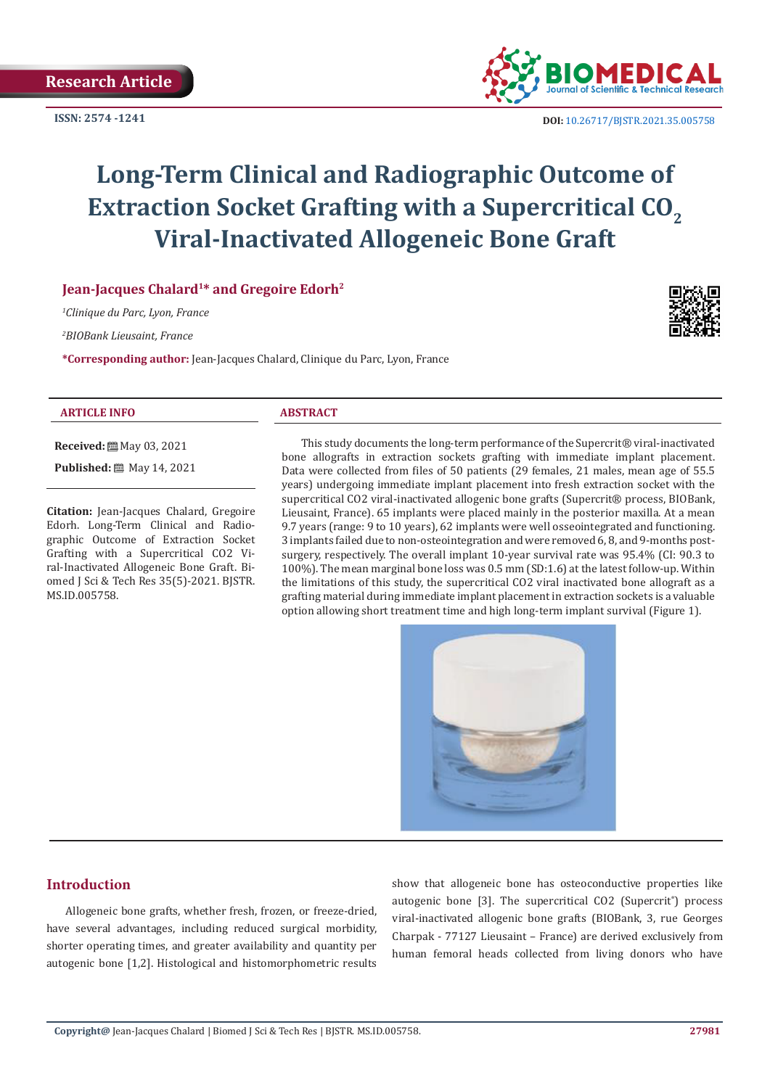**ISSN: 2574 -1241**



 **DOI:** [10.26717/BJSTR.2021.35.005758](http://dx.doi.org/10.26717/BJSTR.2021.35.005758)

# **Long-Term Clinical and Radiographic Outcome of Extraction Socket Grafting with a Supercritical CO<sub>2</sub> Viral-Inactivated Allogeneic Bone Graft**

# **Jean-Jacques Chalard1\* and Gregoire Edorh2**

*1 Clinique du Parc, Lyon, France*

*2 BIOBank Lieusaint, France*

**\*Corresponding author:** Jean-Jacques Chalard, Clinique du Parc, Lyon, France



#### **ARTICLE INFO ABSTRACT**

MS.ID.005758.

**Received:** ■ May 03, 2021 **Published:** 圖 May 14, 2021

**Citation:** Jean-Jacques Chalard, Gregoire Edorh. Long-Term Clinical and Radiographic Outcome of Extraction Socket Grafting with a Supercritical CO2 Viral-Inactivated Allogeneic Bone Graft. Biomed J Sci & Tech Res 35(5)-2021. BJSTR.

bone allografts in extraction sockets grafting with immediate implant placement. Data were collected from files of 50 patients (29 females, 21 males, mean age of 55.5 years) undergoing immediate implant placement into fresh extraction socket with the supercritical CO2 viral-inactivated allogenic bone grafts (Supercrit® process, BIOBank, Lieusaint, France). 65 implants were placed mainly in the posterior maxilla. At a mean 9.7 years (range: 9 to 10 years), 62 implants were well osseointegrated and functioning. 3 implants failed due to non-osteointegration and were removed 6, 8, and 9-months postsurgery, respectively. The overall implant 10-year survival rate was 95.4% (CI: 90.3 to 100%). The mean marginal bone loss was 0.5 mm (SD:1.6) at the latest follow-up. Within the limitations of this study, the supercritical CO2 viral inactivated bone allograft as a grafting material during immediate implant placement in extraction sockets is a valuable option allowing short treatment time and high long-term implant survival (Figure 1).

This study documents the long-term performance of the Supercrit® viral-inactivated



# **Introduction**

Allogeneic bone grafts, whether fresh, frozen, or freeze-dried, have several advantages, including reduced surgical morbidity, shorter operating times, and greater availability and quantity per autogenic bone [1,2]. Histological and histomorphometric results

show that allogeneic bone has osteoconductive properties like autogenic bone [3]. The supercritical CO2 (Supercrit<sup>®</sup>) process viral-inactivated allogenic bone grafts (BIOBank, 3, rue Georges Charpak - 77127 Lieusaint – France) are derived exclusively from human femoral heads collected from living donors who have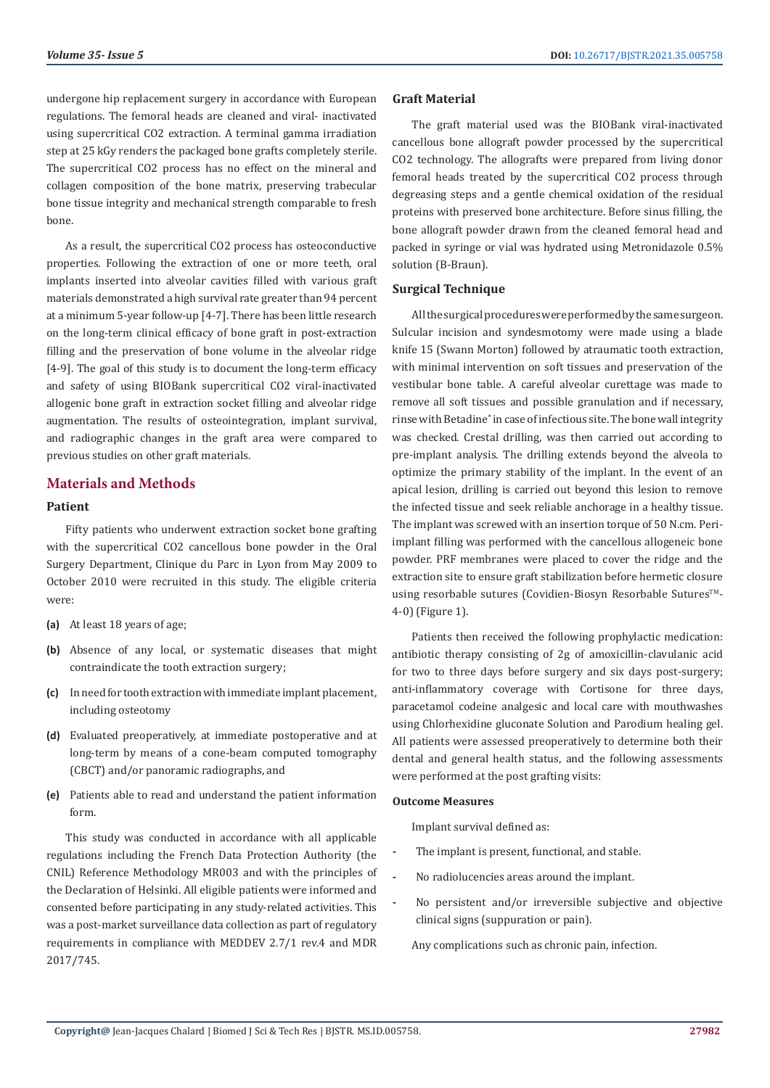undergone hip replacement surgery in accordance with European regulations. The femoral heads are cleaned and viral- inactivated using supercritical CO2 extraction. A terminal gamma irradiation step at 25 kGy renders the packaged bone grafts completely sterile. The supercritical CO2 process has no effect on the mineral and collagen composition of the bone matrix, preserving trabecular bone tissue integrity and mechanical strength comparable to fresh bone.

As a result, the supercritical CO2 process has osteoconductive properties. Following the extraction of one or more teeth, oral implants inserted into alveolar cavities filled with various graft materials demonstrated a high survival rate greater than 94 percent at a minimum 5-year follow-up [4-7]. There has been little research on the long-term clinical efficacy of bone graft in post-extraction filling and the preservation of bone volume in the alveolar ridge [4-9]. The goal of this study is to document the long-term efficacy and safety of using BIOBank supercritical CO2 viral-inactivated allogenic bone graft in extraction socket filling and alveolar ridge augmentation. The results of osteointegration, implant survival, and radiographic changes in the graft area were compared to previous studies on other graft materials.

# **Materials and Methods**

#### **Patient**

Fifty patients who underwent extraction socket bone grafting with the supercritical CO2 cancellous bone powder in the Oral Surgery Department, Clinique du Parc in Lyon from May 2009 to October 2010 were recruited in this study. The eligible criteria were:

- **(a)** At least 18 years of age;
- **(b)** Absence of any local, or systematic diseases that might contraindicate the tooth extraction surgery;
- **(c)** In need for tooth extraction with immediate implant placement, including osteotomy
- **(d)** Evaluated preoperatively, at immediate postoperative and at long-term by means of a cone-beam computed tomography (CBCT) and/or panoramic radiographs, and
- **(e)** Patients able to read and understand the patient information form.

This study was conducted in accordance with all applicable regulations including the French Data Protection Authority (the CNIL) Reference Methodology MR003 and with the principles of the Declaration of Helsinki. All eligible patients were informed and consented before participating in any study-related activities. This was a post-market surveillance data collection as part of regulatory requirements in compliance with MEDDEV 2.7/1 rev.4 and MDR 2017/745.

#### **Graft Material**

The graft material used was the BIOBank viral-inactivated cancellous bone allograft powder processed by the supercritical CO2 technology. The allografts were prepared from living donor femoral heads treated by the supercritical CO2 process through degreasing steps and a gentle chemical oxidation of the residual proteins with preserved bone architecture. Before sinus filling, the bone allograft powder drawn from the cleaned femoral head and packed in syringe or vial was hydrated using Metronidazole 0.5% solution (B-Braun).

#### **Surgical Technique**

All the surgical procedures were performed by the same surgeon. Sulcular incision and syndesmotomy were made using a blade knife 15 (Swann Morton) followed by atraumatic tooth extraction, with minimal intervention on soft tissues and preservation of the vestibular bone table. A careful alveolar curettage was made to remove all soft tissues and possible granulation and if necessary, rinse with Betadine® in case of infectious site. The bone wall integrity was checked. Crestal drilling, was then carried out according to pre-implant analysis. The drilling extends beyond the alveola to optimize the primary stability of the implant. In the event of an apical lesion, drilling is carried out beyond this lesion to remove the infected tissue and seek reliable anchorage in a healthy tissue. The implant was screwed with an insertion torque of 50 N.cm. Periimplant filling was performed with the cancellous allogeneic bone powder. PRF membranes were placed to cover the ridge and the extraction site to ensure graft stabilization before hermetic closure using resorbable sutures (Covidien-Biosyn Resorbable Sutures™-4-0) (Figure 1).

Patients then received the following prophylactic medication: antibiotic therapy consisting of 2g of amoxicillin-clavulanic acid for two to three days before surgery and six days post-surgery; anti-inflammatory coverage with Cortisone for three days, paracetamol codeine analgesic and local care with mouthwashes using Chlorhexidine gluconate Solution and Parodium healing gel. All patients were assessed preoperatively to determine both their dental and general health status, and the following assessments were performed at the post grafting visits:

#### **Outcome Measures**

Implant survival defined as:

- **-** The implant is present, functional, and stable.
- **-** No radiolucencies areas around the implant.
- **-** No persistent and/or irreversible subjective and objective clinical signs (suppuration or pain).

Any complications such as chronic pain, infection.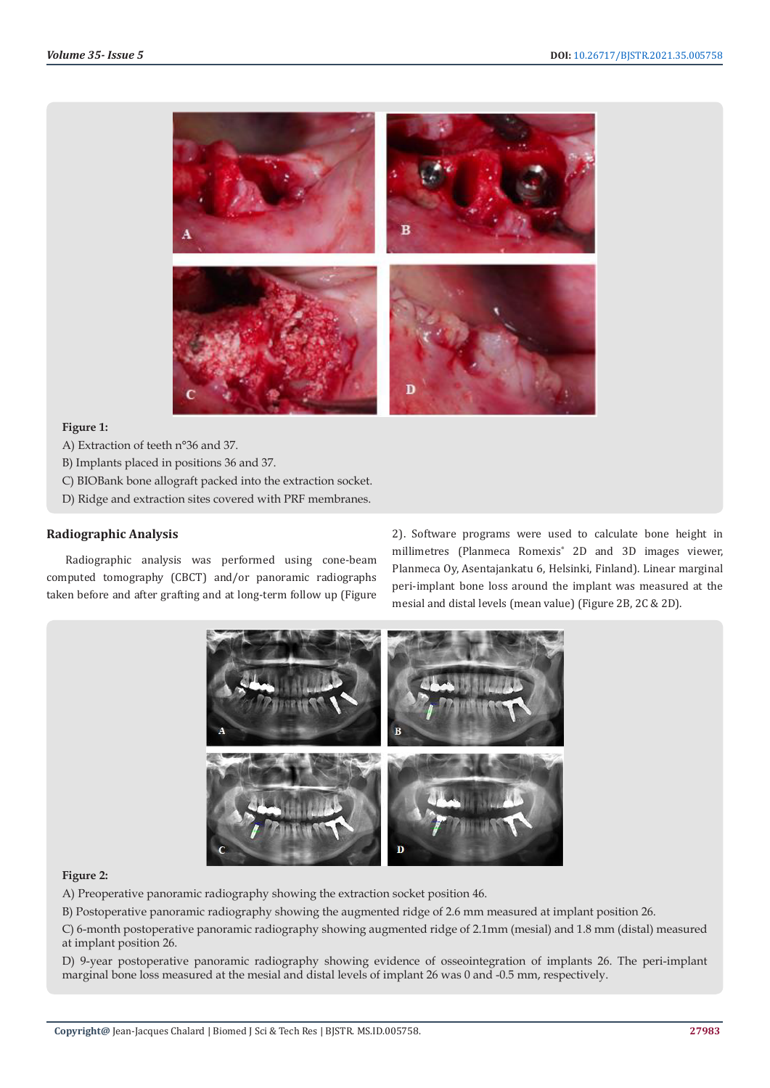

#### **Figure 1:**

A) Extraction of teeth n°36 and 37.

- B) Implants placed in positions 36 and 37.
- C) BIOBank bone allograft packed into the extraction socket.
- D) Ridge and extraction sites covered with PRF membranes.

#### **Radiographic Analysis**

Radiographic analysis was performed using cone-beam computed tomography (CBCT) and/or panoramic radiographs taken before and after grafting and at long-term follow up (Figure 2). Software programs were used to calculate bone height in millimetres (Planmeca Romexis® 2D and 3D images viewer, Planmeca Oy, Asentajankatu 6, Helsinki, Finland). Linear marginal peri-implant bone loss around the implant was measured at the mesial and distal levels (mean value) (Figure 2B, 2C & 2D).



#### **Figure 2:**

A) Preoperative panoramic radiography showing the extraction socket position 46.

B) Postoperative panoramic radiography showing the augmented ridge of 2.6 mm measured at implant position 26.

C) 6-month postoperative panoramic radiography showing augmented ridge of 2.1mm (mesial) and 1.8 mm (distal) measured at implant position 26.

D) 9-year postoperative panoramic radiography showing evidence of osseointegration of implants 26. The peri-implant marginal bone loss measured at the mesial and distal levels of implant 26 was 0 and -0.5 mm, respectively.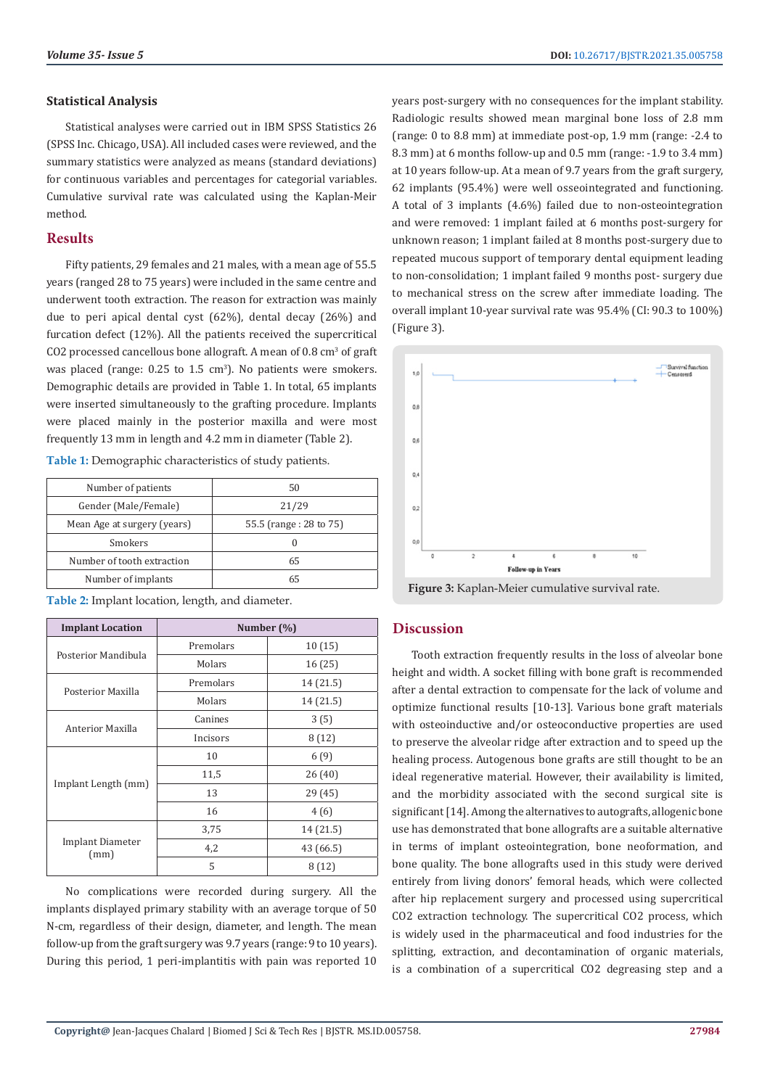## **Statistical Analysis**

Statistical analyses were carried out in IBM SPSS Statistics 26 (SPSS Inc. Chicago, USA). All included cases were reviewed, and the summary statistics were analyzed as means (standard deviations) for continuous variables and percentages for categorial variables. Cumulative survival rate was calculated using the Kaplan-Meir method.

# **Results**

Fifty patients, 29 females and 21 males, with a mean age of 55.5 years (ranged 28 to 75 years) were included in the same centre and underwent tooth extraction. The reason for extraction was mainly due to peri apical dental cyst (62%), dental decay (26%) and furcation defect (12%). All the patients received the supercritical CO2 processed cancellous bone allograft. A mean of 0.8 cm<sup>3</sup> of graft was placed (range:  $0.25$  to  $1.5 \text{ cm}^3$ ). No patients were smokers. Demographic details are provided in Table 1. In total, 65 implants were inserted simultaneously to the grafting procedure. Implants were placed mainly in the posterior maxilla and were most frequently 13 mm in length and 4.2 mm in diameter (Table 2).

**Table 1:** Demographic characteristics of study patients.

| Number of patients          | 50                     |  |  |
|-----------------------------|------------------------|--|--|
| Gender (Male/Female)        | 21/29                  |  |  |
| Mean Age at surgery (years) | 55.5 (range: 28 to 75) |  |  |
| Smokers                     |                        |  |  |
| Number of tooth extraction  | 65                     |  |  |
| Number of implants          | 65                     |  |  |

**Implant Location Number (%)** Posterior Mandibula Premolars 10 (15) Molars 16 (25) Posterior Maxilla Premolars 14 (21.5) Molars 14 (21.5) Anterior Maxilla Canines  $3(5)$ Incisors  $8(12)$ Implant Length (mm) 10 6 (9) 11,5 26 (40) 13 29 (45) 16 4 (6) Implant Diameter (mm) 3,75 14 (21.5) 4,2 43 (66.5)  $5 \t 8(12)$ 

**Table 2:** Implant location, length, and diameter.

No complications were recorded during surgery. All the implants displayed primary stability with an average torque of 50 N-cm, regardless of their design, diameter, and length. The mean follow-up from the graft surgery was 9.7 years (range: 9 to 10 years). During this period, 1 peri-implantitis with pain was reported 10 years post-surgery with no consequences for the implant stability. Radiologic results showed mean marginal bone loss of 2.8 mm (range: 0 to 8.8 mm) at immediate post-op, 1.9 mm (range: -2.4 to 8.3 mm) at 6 months follow-up and 0.5 mm (range: -1.9 to 3.4 mm) at 10 years follow-up. At a mean of 9.7 years from the graft surgery, 62 implants (95.4%) were well osseointegrated and functioning. A total of 3 implants (4.6%) failed due to non-osteointegration and were removed: 1 implant failed at 6 months post-surgery for unknown reason; 1 implant failed at 8 months post-surgery due to repeated mucous support of temporary dental equipment leading to non-consolidation; 1 implant failed 9 months post- surgery due to mechanical stress on the screw after immediate loading. The overall implant 10-year survival rate was 95.4% (CI: 90.3 to 100%) (Figure 3).



**Figure 3:** Kaplan-Meier cumulative survival rate.

# **Discussion**

Tooth extraction frequently results in the loss of alveolar bone height and width. A socket filling with bone graft is recommended after a dental extraction to compensate for the lack of volume and optimize functional results [10-13]. Various bone graft materials with osteoinductive and/or osteoconductive properties are used to preserve the alveolar ridge after extraction and to speed up the healing process. Autogenous bone grafts are still thought to be an ideal regenerative material. However, their availability is limited, and the morbidity associated with the second surgical site is significant [14]. Among the alternatives to autografts, allogenic bone use has demonstrated that bone allografts are a suitable alternative in terms of implant osteointegration, bone neoformation, and bone quality. The bone allografts used in this study were derived entirely from living donors' femoral heads, which were collected after hip replacement surgery and processed using supercritical CO2 extraction technology. The supercritical CO2 process, which is widely used in the pharmaceutical and food industries for the splitting, extraction, and decontamination of organic materials, is a combination of a supercritical CO2 degreasing step and a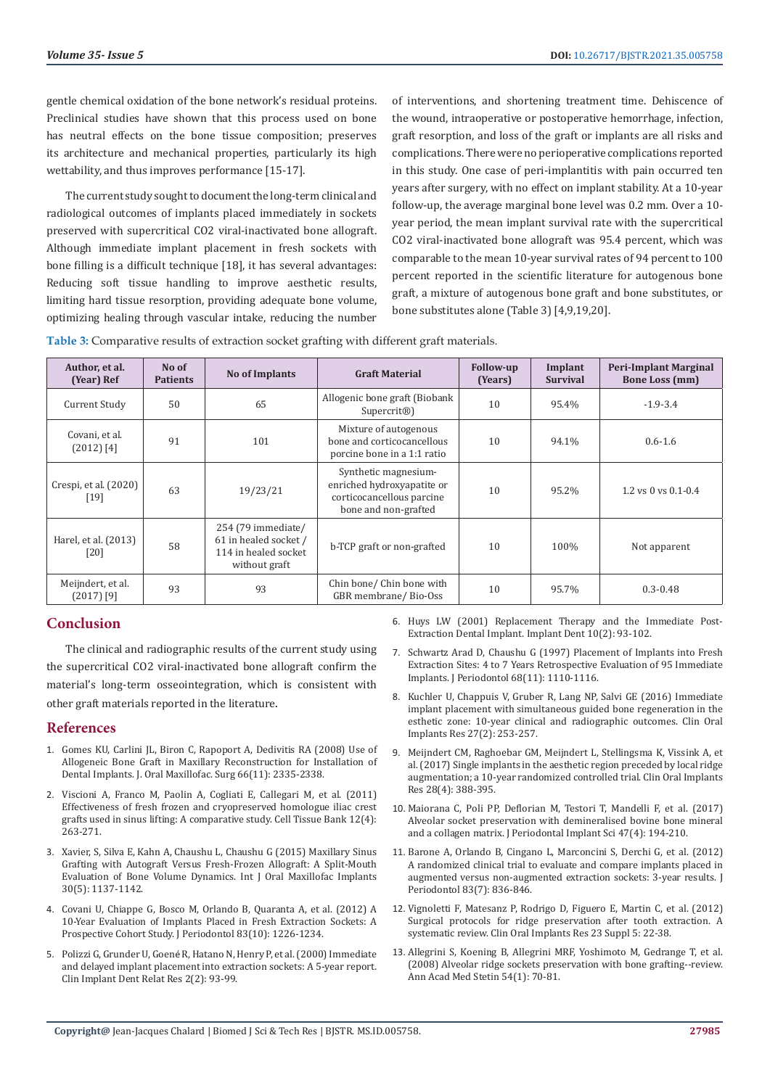gentle chemical oxidation of the bone network's residual proteins. Preclinical studies have shown that this process used on bone has neutral effects on the bone tissue composition; preserves its architecture and mechanical properties, particularly its high wettability, and thus improves performance [15-17].

The current study sought to document the long-term clinical and radiological outcomes of implants placed immediately in sockets preserved with supercritical CO2 viral-inactivated bone allograft. Although immediate implant placement in fresh sockets with bone filling is a difficult technique [18], it has several advantages: Reducing soft tissue handling to improve aesthetic results, limiting hard tissue resorption, providing adequate bone volume, optimizing healing through vascular intake, reducing the number of interventions, and shortening treatment time. Dehiscence of the wound, intraoperative or postoperative hemorrhage, infection, graft resorption, and loss of the graft or implants are all risks and complications. There were no perioperative complications reported in this study. One case of peri-implantitis with pain occurred ten years after surgery, with no effect on implant stability. At a 10-year follow-up, the average marginal bone level was 0.2 mm. Over a 10 year period, the mean implant survival rate with the supercritical CO2 viral-inactivated bone allograft was 95.4 percent, which was comparable to the mean 10-year survival rates of 94 percent to 100 percent reported in the scientific literature for autogenous bone graft, a mixture of autogenous bone graft and bone substitutes, or bone substitutes alone (Table 3) [4,9,19,20].

**Table 3:** Comparative results of extraction socket grafting with different graft materials.

| Author, et al.<br>(Year) Ref      | No of<br><b>Patients</b> | <b>No of Implants</b>                                                                | <b>Graft Material</b>                                                                                   | <b>Follow-up</b><br>(Years) | Implant<br><b>Survival</b> | <b>Peri-Implant Marginal</b><br><b>Bone Loss (mm)</b> |
|-----------------------------------|--------------------------|--------------------------------------------------------------------------------------|---------------------------------------------------------------------------------------------------------|-----------------------------|----------------------------|-------------------------------------------------------|
| Current Study                     | 50                       | 65                                                                                   | Allogenic bone graft (Biobank<br>Supercrit <sup>®</sup> )                                               | 10                          | 95.4%                      | $-1.9 - 3.4$                                          |
| Covani, et al.<br>$(2012)$ [4]    | 91                       | 101                                                                                  | Mixture of autogenous<br>bone and corticocancellous<br>porcine bone in a 1:1 ratio                      | 10                          | 94.1%                      | $0.6 - 1.6$                                           |
| Crespi, et al. (2020)<br>$[19]$   | 63                       | 19/23/21                                                                             | Synthetic magnesium-<br>enriched hydroxyapatite or<br>corticocancellous parcine<br>bone and non-grafted | 10                          | 95.2%                      | $1.2$ vs 0 vs $0.1 - 0.4$                             |
| Harel, et al. (2013)<br>$[20]$    | 58                       | 254 (79 immediate/<br>61 in healed socket /<br>114 in healed socket<br>without graft | b-TCP graft or non-grafted                                                                              | 10                          | 100%                       | Not apparent                                          |
| Meijndert, et al.<br>$(2017)$ [9] | 93                       | 93                                                                                   | Chin bone/ Chin bone with<br>GBR membrane/Bio-Oss                                                       | 10                          | 95.7%                      | $0.3 - 0.48$                                          |

# **Conclusion**

The clinical and radiographic results of the current study using the supercritical CO2 viral-inactivated bone allograft confirm the material's long-term osseointegration, which is consistent with other graft materials reported in the literature.

### **References**

- 1. [Gomes KU, Carlini JL, Biron C, Rapoport A, Dedivitis RA \(2008\) Use of](https://pubmed.ncbi.nlm.nih.gov/18940502/)  [Allogeneic Bone Graft in Maxillary Reconstruction for Installation of](https://pubmed.ncbi.nlm.nih.gov/18940502/)  [Dental Implants. J. Oral Maxillofac. Surg 66\(11\): 2335-2338.](https://pubmed.ncbi.nlm.nih.gov/18940502/)
- 2. [Viscioni A, Franco M, Paolin A, Cogliati E, Callegari M, et al. \(2011\)](https://pubmed.ncbi.nlm.nih.gov/20607417/)  [Effectiveness of fresh frozen and cryopreserved homologue iliac crest](https://pubmed.ncbi.nlm.nih.gov/20607417/)  [grafts used in sinus lifting: A comparative study. Cell Tissue Bank 12\(4\):](https://pubmed.ncbi.nlm.nih.gov/20607417/)  [263-271.](https://pubmed.ncbi.nlm.nih.gov/20607417/)
- 3. [Xavier, S, Silva E, Kahn A, Chaushu L, Chaushu G \(2015\) Maxillary Sinus](https://pubmed.ncbi.nlm.nih.gov/26394351/)  [Grafting with Autograft Versus Fresh-Frozen Allograft: A Split-Mouth](https://pubmed.ncbi.nlm.nih.gov/26394351/)  [Evaluation of Bone Volume Dynamics. Int J Oral Maxillofac Implants](https://pubmed.ncbi.nlm.nih.gov/26394351/)  [30\(5\): 1137-1142.](https://pubmed.ncbi.nlm.nih.gov/26394351/)
- 4. [Covani U, Chiappe G, Bosco M, Orlando B, Quaranta A, et al. \(2012\) A](https://pubmed.ncbi.nlm.nih.gov/22220768/)  [10-Year Evaluation of Implants Placed in Fresh Extraction Sockets: A](https://pubmed.ncbi.nlm.nih.gov/22220768/)  [Prospective Cohort Study. J Periodontol 83\(10\): 1226-1234.](https://pubmed.ncbi.nlm.nih.gov/22220768/)
- 5. Polizzi G, Grunder U, Goené [R, Hatano N, Henry P, et al. \(2000\) Immediate](https://pubmed.ncbi.nlm.nih.gov/11359269/)  [and delayed implant placement into extraction sockets: A 5-year report.](https://pubmed.ncbi.nlm.nih.gov/11359269/)  [Clin Implant Dent Relat Res 2\(2\): 93-99.](https://pubmed.ncbi.nlm.nih.gov/11359269/)
- 6. [Huys LW \(2001\) Replacement Therapy and the Immediate Post-](https://pubmed.ncbi.nlm.nih.gov/11450419/)[Extraction Dental Implant. Implant Dent 10\(2\): 93-102.](https://pubmed.ncbi.nlm.nih.gov/11450419/)
- 7. [Schwartz Arad D, Chaushu G \(1997\) Placement of Implants into Fresh](https://pubmed.ncbi.nlm.nih.gov/9407405/) [Extraction Sites: 4 to 7 Years Retrospective Evaluation of 95 Immediate](https://pubmed.ncbi.nlm.nih.gov/9407405/) [Implants. J Periodontol 68\(11\): 1110-1116.](https://pubmed.ncbi.nlm.nih.gov/9407405/)
- 8. [Kuchler U, Chappuis V, Gruber R, Lang NP, Salvi GE \(2016\) Immediate](https://pubmed.ncbi.nlm.nih.gov/25906924/) [implant placement with simultaneous guided bone regeneration in the](https://pubmed.ncbi.nlm.nih.gov/25906924/) [esthetic zone: 10-year clinical and radiographic outcomes. Clin Oral](https://pubmed.ncbi.nlm.nih.gov/25906924/) [Implants Res 27\(2\): 253-257.](https://pubmed.ncbi.nlm.nih.gov/25906924/)
- 9. [Meijndert CM, Raghoebar GM, Meijndert L, Stellingsma K, Vissink A, et](https://pubmed.ncbi.nlm.nih.gov/26919705/) [al. \(2017\) Single implants in the aesthetic region preceded by local ridge](https://pubmed.ncbi.nlm.nih.gov/26919705/) [augmentation; a 10-year randomized controlled trial. Clin Oral Implants](https://pubmed.ncbi.nlm.nih.gov/26919705/) [Res 28\(4\): 388-395.](https://pubmed.ncbi.nlm.nih.gov/26919705/)
- 10. [Maiorana C, Poli PP, Deflorian M, Testori T, Mandelli F, et al. \(2017\)](https://pubmed.ncbi.nlm.nih.gov/28861284/) [Alveolar socket preservation with demineralised bovine bone mineral](https://pubmed.ncbi.nlm.nih.gov/28861284/) [and a collagen matrix. J Periodontal Implant Sci 47\(4\): 194-210.](https://pubmed.ncbi.nlm.nih.gov/28861284/)
- 11. [Barone A, Orlando B, Cingano L, Marconcini S, Derchi G, et al. \(2012\)](https://pubmed.ncbi.nlm.nih.gov/22141358/) [A randomized clinical trial to evaluate and compare implants placed in](https://pubmed.ncbi.nlm.nih.gov/22141358/) [augmented versus non-augmented extraction sockets: 3-year results. J](https://pubmed.ncbi.nlm.nih.gov/22141358/) [Periodontol 83\(7\): 836-846.](https://pubmed.ncbi.nlm.nih.gov/22141358/)
- 12. [Vignoletti F, Matesanz P, Rodrigo D, Figuero E, Martin C, et al. \(2012\)](https://pubmed.ncbi.nlm.nih.gov/22211304/) [Surgical protocols for ridge preservation after tooth extraction. A](https://pubmed.ncbi.nlm.nih.gov/22211304/) [systematic review. Clin Oral Implants Res 23 Suppl 5: 22-38.](https://pubmed.ncbi.nlm.nih.gov/22211304/)
- 13. [Allegrini S, Koening B, Allegrini MRF, Yoshimoto M, Gedrange T, et al.](https://pubmed.ncbi.nlm.nih.gov/19127813/) [\(2008\) Alveolar ridge sockets preservation with bone grafting--review.](https://pubmed.ncbi.nlm.nih.gov/19127813/) [Ann Acad Med Stetin 54\(1\): 70-81.](https://pubmed.ncbi.nlm.nih.gov/19127813/)